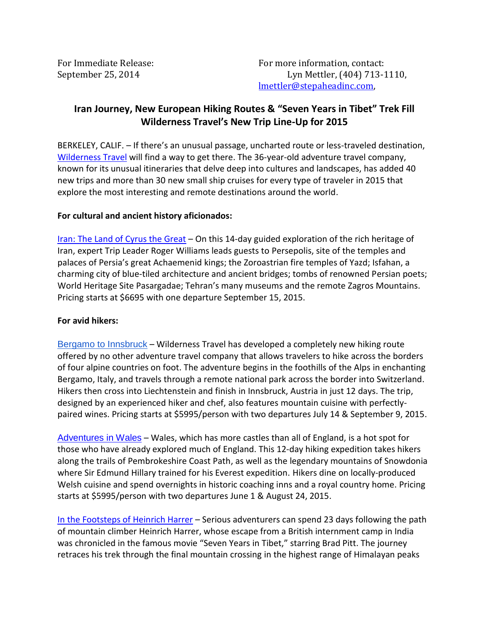# **Iran Journey, New European Hiking Routes & "Seven Years in Tibet" Trek Fill Wilderness Travel's New Trip Line-Up for 2015**

BERKELEY, CALIF. – If there's an unusual passage, uncharted route or less-traveled destination, [Wilderness Travel](http://www.wildernesstravel.com/) will find a way to get there. The 36-year-old adventure travel company, known for its unusual itineraries that delve deep into cultures and landscapes, has added 40 new trips and more than 30 new small ship cruises for every type of traveler in 2015 that explore the most interesting and remote destinations around the world.

#### **For cultural and ancient history aficionados:**

[Iran: The Land of Cyrus the Great](http://www.wildernesstravel.com/trip/iran/persia-cultural-walking-adventure) – On this 14-day guided exploration of the rich heritage of Iran, expert Trip Leader Roger Williams leads guests to Persepolis, site of the temples and palaces of Persia's great Achaemenid kings; the Zoroastrian fire temples of Yazd; Isfahan, a charming city of blue-tiled architecture and ancient bridges; tombs of renowned Persian poets; World Heritage Site Pasargadae; Tehran's many museums and the remote Zagros Mountains. Pricing starts at \$6695 with one departure September 15, 2015.

## **For avid hikers:**

[Bergamo to Innsbruck](http://www.wildernesstravel.com/trip/italy/austria-switzerland-bergamo-to-innsbruck-hiking) – Wilderness Travel has developed a completely new hiking route offered by no other adventure travel company that allows travelers to hike across the borders of four alpine countries on foot. The adventure begins in the foothills of the Alps in enchanting Bergamo, Italy, and travels through a remote national park across the border into Switzerland. Hikers then cross into Liechtenstein and finish in Innsbruck, Austria in just 12 days. The trip, designed by an experienced hiker and chef, also features mountain cuisine with perfectlypaired wines. Pricing starts at \$5995/person with two departures July 14 & September 9, 2015.

[Adventures in Wales](http://www.wildernesstravel.com/trip/wales/wales-hiking-expedition) – Wales, which has more castles than all of England, is a hot spot for those who have already explored much of England. This 12-day hiking expedition takes hikers along the trails of Pembrokeshire Coast Path, as well as the legendary mountains of Snowdonia where Sir Edmund Hillary trained for his Everest expedition. Hikers dine on locally-produced Welsh cuisine and spend overnights in historic coaching inns and a royal country home. Pricing starts at \$5995/person with two departures June 1 & August 24, 2015.

[In the Footsteps of Heinrich Harrer](http://www.wildernesstravel.com/trip/tibet/nam-tso-harrer-trek) – Serious adventurers can spend 23 days following the path of mountain climber Heinrich Harrer, whose escape from a British internment camp in India was chronicled in the famous movie "Seven Years in Tibet," starring Brad Pitt. The journey retraces his trek through the final mountain crossing in the highest range of Himalayan peaks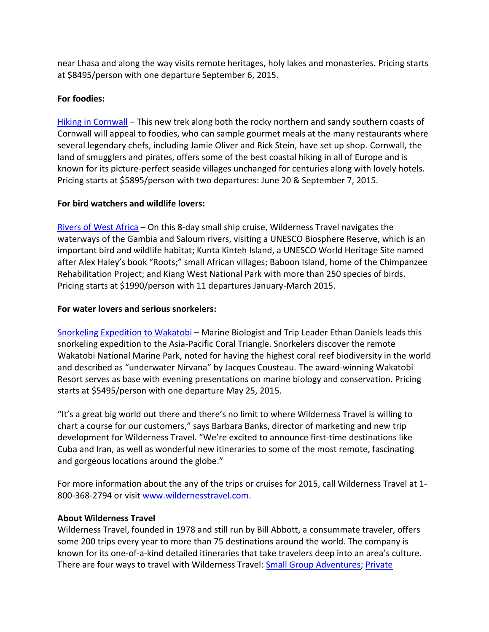near Lhasa and along the way visits remote heritages, holy lakes and monasteries. Pricing starts at \$8495/person with one departure September 6, 2015.

#### **For foodies:**

[Hiking in Cornwall](http://www.wildernesstravel.com/trip/england/cornwall-culinary-hiking-history-adventure) – This new trek along both the rocky northern and sandy southern coasts of Cornwall will appeal to foodies, who can sample gourmet meals at the many restaurants where several legendary chefs, including Jamie Oliver and Rick Stein, have set up shop. Cornwall, the land of smugglers and pirates, offers some of the best coastal hiking in all of Europe and is known for its picture-perfect seaside villages unchanged for centuries along with lovely hotels. Pricing starts at \$5895/person with two departures: June 20 & September 7, 2015.

#### **For bird watchers and wildlife lovers:**

[Rivers of West Africa](http://www.wildernesstravel.com/trip/senegal/west-africa-dakar-to-gambia-river-cruise) – On this 8-day small ship cruise, Wilderness Travel navigates the waterways of the Gambia and Saloum rivers, visiting a UNESCO Biosphere Reserve, which is an important bird and wildlife habitat; Kunta Kinteh Island, a UNESCO World Heritage Site named after Alex Haley's book "Roots;" small African villages; Baboon Island, home of the Chimpanzee Rehabilitation Project; and Kiang West National Park with more than 250 species of birds. Pricing starts at \$1990/person with 11 departures January-March 2015.

### **For water lovers and serious snorkelers:**

[Snorkeling Expedition to Wakatobi](http://www.wildernesstravel.com/trip/indonesia/wakatobi-snorkeling-expedition) - Marine Biologist and Trip Leader Ethan Daniels leads this snorkeling expedition to the Asia-Pacific Coral Triangle. Snorkelers discover the remote Wakatobi National Marine Park, noted for having the highest coral reef biodiversity in the world and described as "underwater Nirvana" by Jacques Cousteau. The award-winning Wakatobi Resort serves as base with evening presentations on marine biology and conservation. Pricing starts at \$5495/person with one departure May 25, 2015.

"It's a great big world out there and there's no limit to where Wilderness Travel is willing to chart a course for our customers," says Barbara Banks, director of marketing and new trip development for Wilderness Travel. "We're excited to announce first-time destinations like Cuba and Iran, as well as wonderful new itineraries to some of the most remote, fascinating and gorgeous locations around the globe."

For more information about the any of the trips or cruises for 2015, call Wilderness Travel at 1- 800-368-2794 or visit [www.wildernesstravel.com.](http://www.wildernesstravel.com/)

#### **About Wilderness Travel**

Wilderness Travel, founded in 1978 and still run by Bill Abbott, a consummate traveler, offers some 200 trips every year to more than 75 destinations around the world. The company is known for its one-of-a-kind detailed itineraries that take travelers deep into an area's culture. There are four ways to travel with Wilderness Travel: [Small Group Adventures;](http://www.wildernesstravel.com/our-trips/small-group-adventures) Private